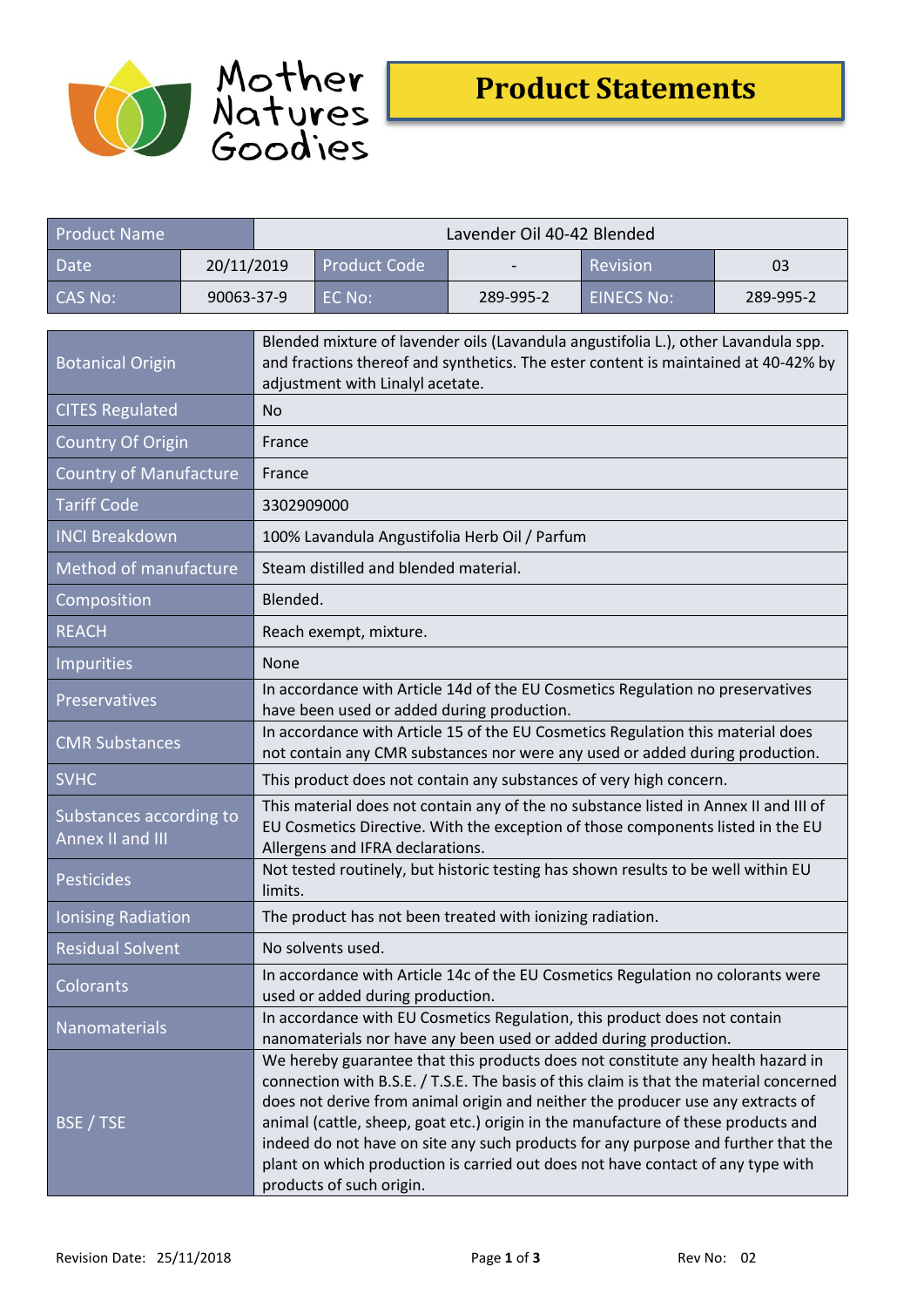



| <b>Product Name</b>                         |            | Lavender Oil 40-42 Blended                                                                                                                                                                                                                                                                                                                                                                                                                                                                                                                            |                     |           |                   |           |  |
|---------------------------------------------|------------|-------------------------------------------------------------------------------------------------------------------------------------------------------------------------------------------------------------------------------------------------------------------------------------------------------------------------------------------------------------------------------------------------------------------------------------------------------------------------------------------------------------------------------------------------------|---------------------|-----------|-------------------|-----------|--|
| <b>Date</b>                                 | 20/11/2019 |                                                                                                                                                                                                                                                                                                                                                                                                                                                                                                                                                       | <b>Product Code</b> |           | <b>Revision</b>   | 03        |  |
| <b>CAS No:</b>                              | 90063-37-9 |                                                                                                                                                                                                                                                                                                                                                                                                                                                                                                                                                       | EC No:              | 289-995-2 | <b>EINECS No:</b> | 289-995-2 |  |
| <b>Botanical Origin</b>                     |            | Blended mixture of lavender oils (Lavandula angustifolia L.), other Lavandula spp.<br>and fractions thereof and synthetics. The ester content is maintained at 40-42% by<br>adjustment with Linalyl acetate.                                                                                                                                                                                                                                                                                                                                          |                     |           |                   |           |  |
| <b>CITES Regulated</b>                      |            | No.                                                                                                                                                                                                                                                                                                                                                                                                                                                                                                                                                   |                     |           |                   |           |  |
| <b>Country Of Origin</b>                    |            | France                                                                                                                                                                                                                                                                                                                                                                                                                                                                                                                                                |                     |           |                   |           |  |
| <b>Country of Manufacture</b>               |            | France                                                                                                                                                                                                                                                                                                                                                                                                                                                                                                                                                |                     |           |                   |           |  |
| <b>Tariff Code</b>                          |            | 3302909000                                                                                                                                                                                                                                                                                                                                                                                                                                                                                                                                            |                     |           |                   |           |  |
| <b>INCI Breakdown</b>                       |            | 100% Lavandula Angustifolia Herb Oil / Parfum                                                                                                                                                                                                                                                                                                                                                                                                                                                                                                         |                     |           |                   |           |  |
| Method of manufacture                       |            | Steam distilled and blended material.                                                                                                                                                                                                                                                                                                                                                                                                                                                                                                                 |                     |           |                   |           |  |
| Composition                                 |            | Blended.                                                                                                                                                                                                                                                                                                                                                                                                                                                                                                                                              |                     |           |                   |           |  |
| <b>REACH</b>                                |            | Reach exempt, mixture.                                                                                                                                                                                                                                                                                                                                                                                                                                                                                                                                |                     |           |                   |           |  |
| Impurities                                  |            | None                                                                                                                                                                                                                                                                                                                                                                                                                                                                                                                                                  |                     |           |                   |           |  |
| Preservatives                               |            | In accordance with Article 14d of the EU Cosmetics Regulation no preservatives<br>have been used or added during production.                                                                                                                                                                                                                                                                                                                                                                                                                          |                     |           |                   |           |  |
| <b>CMR Substances</b>                       |            | In accordance with Article 15 of the EU Cosmetics Regulation this material does<br>not contain any CMR substances nor were any used or added during production.                                                                                                                                                                                                                                                                                                                                                                                       |                     |           |                   |           |  |
| <b>SVHC</b>                                 |            | This product does not contain any substances of very high concern.                                                                                                                                                                                                                                                                                                                                                                                                                                                                                    |                     |           |                   |           |  |
| Substances according to<br>Annex II and III |            | This material does not contain any of the no substance listed in Annex II and III of<br>EU Cosmetics Directive. With the exception of those components listed in the EU<br>Allergens and IFRA declarations.                                                                                                                                                                                                                                                                                                                                           |                     |           |                   |           |  |
| Pesticides                                  |            | Not tested routinely, but historic testing has shown results to be well within EU<br>limits.                                                                                                                                                                                                                                                                                                                                                                                                                                                          |                     |           |                   |           |  |
| <b>Ionising Radiation</b>                   |            | The product has not been treated with ionizing radiation.                                                                                                                                                                                                                                                                                                                                                                                                                                                                                             |                     |           |                   |           |  |
| <b>Residual Solvent</b>                     |            | No solvents used.                                                                                                                                                                                                                                                                                                                                                                                                                                                                                                                                     |                     |           |                   |           |  |
| Colorants                                   |            | In accordance with Article 14c of the EU Cosmetics Regulation no colorants were<br>used or added during production.                                                                                                                                                                                                                                                                                                                                                                                                                                   |                     |           |                   |           |  |
| Nanomaterials                               |            | In accordance with EU Cosmetics Regulation, this product does not contain<br>nanomaterials nor have any been used or added during production.                                                                                                                                                                                                                                                                                                                                                                                                         |                     |           |                   |           |  |
| BSE / TSE                                   |            | We hereby guarantee that this products does not constitute any health hazard in<br>connection with B.S.E. / T.S.E. The basis of this claim is that the material concerned<br>does not derive from animal origin and neither the producer use any extracts of<br>animal (cattle, sheep, goat etc.) origin in the manufacture of these products and<br>indeed do not have on site any such products for any purpose and further that the<br>plant on which production is carried out does not have contact of any type with<br>products of such origin. |                     |           |                   |           |  |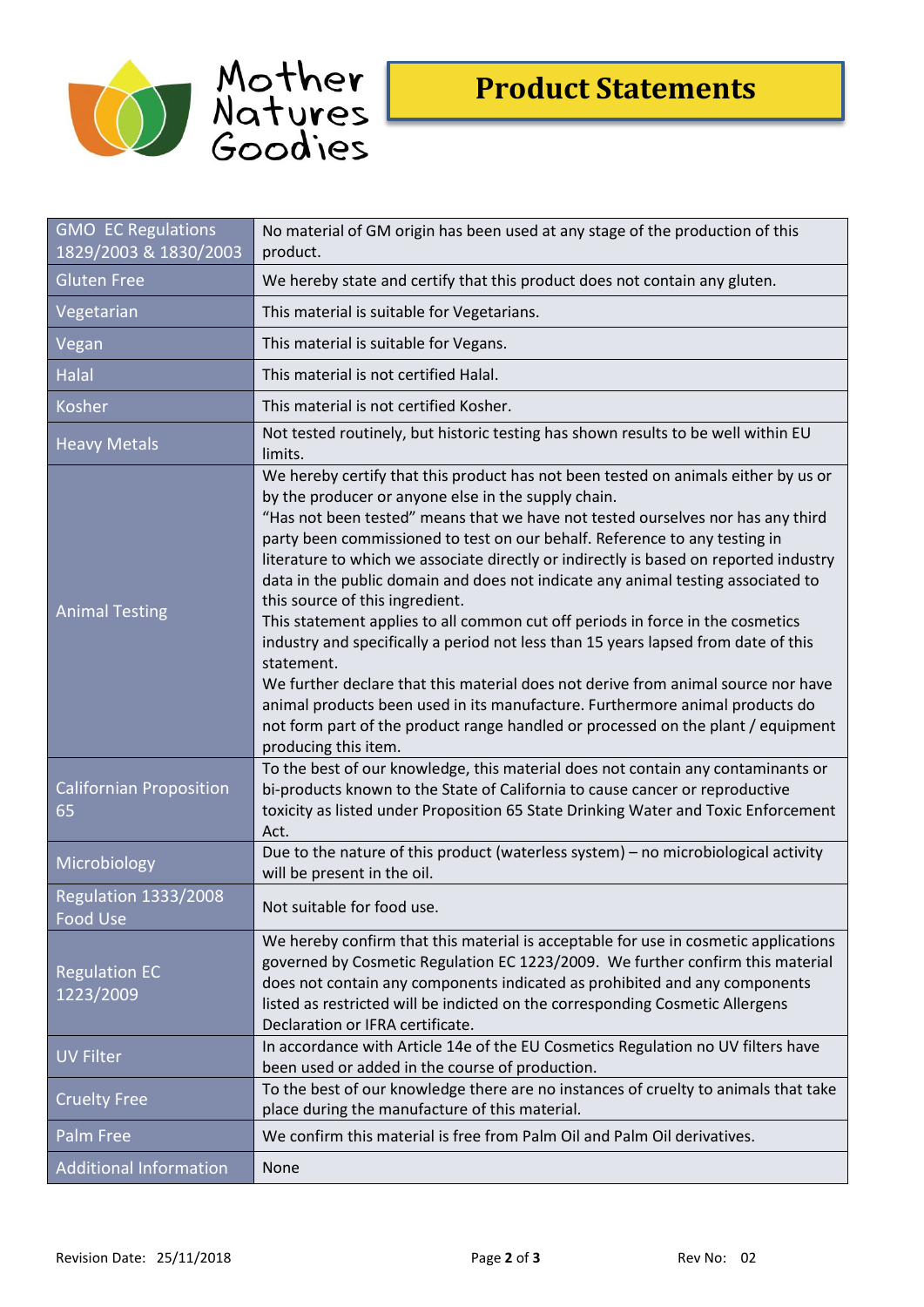



| <b>GMO EC Regulations</b><br>1829/2003 & 1830/2003 | No material of GM origin has been used at any stage of the production of this<br>product.                                                                                                                                                                                                                                                                                                                                                                                                                                                                                                                                                                                                                                                                                                                                                                                                                                                                                                         |  |
|----------------------------------------------------|---------------------------------------------------------------------------------------------------------------------------------------------------------------------------------------------------------------------------------------------------------------------------------------------------------------------------------------------------------------------------------------------------------------------------------------------------------------------------------------------------------------------------------------------------------------------------------------------------------------------------------------------------------------------------------------------------------------------------------------------------------------------------------------------------------------------------------------------------------------------------------------------------------------------------------------------------------------------------------------------------|--|
| <b>Gluten Free</b>                                 | We hereby state and certify that this product does not contain any gluten.                                                                                                                                                                                                                                                                                                                                                                                                                                                                                                                                                                                                                                                                                                                                                                                                                                                                                                                        |  |
| Vegetarian                                         | This material is suitable for Vegetarians.                                                                                                                                                                                                                                                                                                                                                                                                                                                                                                                                                                                                                                                                                                                                                                                                                                                                                                                                                        |  |
| Vegan                                              | This material is suitable for Vegans.                                                                                                                                                                                                                                                                                                                                                                                                                                                                                                                                                                                                                                                                                                                                                                                                                                                                                                                                                             |  |
| Halal                                              | This material is not certified Halal.                                                                                                                                                                                                                                                                                                                                                                                                                                                                                                                                                                                                                                                                                                                                                                                                                                                                                                                                                             |  |
| Kosher                                             | This material is not certified Kosher.                                                                                                                                                                                                                                                                                                                                                                                                                                                                                                                                                                                                                                                                                                                                                                                                                                                                                                                                                            |  |
| <b>Heavy Metals</b>                                | Not tested routinely, but historic testing has shown results to be well within EU<br>limits.                                                                                                                                                                                                                                                                                                                                                                                                                                                                                                                                                                                                                                                                                                                                                                                                                                                                                                      |  |
| <b>Animal Testing</b>                              | We hereby certify that this product has not been tested on animals either by us or<br>by the producer or anyone else in the supply chain.<br>"Has not been tested" means that we have not tested ourselves nor has any third<br>party been commissioned to test on our behalf. Reference to any testing in<br>literature to which we associate directly or indirectly is based on reported industry<br>data in the public domain and does not indicate any animal testing associated to<br>this source of this ingredient.<br>This statement applies to all common cut off periods in force in the cosmetics<br>industry and specifically a period not less than 15 years lapsed from date of this<br>statement.<br>We further declare that this material does not derive from animal source nor have<br>animal products been used in its manufacture. Furthermore animal products do<br>not form part of the product range handled or processed on the plant / equipment<br>producing this item. |  |
| <b>Californian Proposition</b><br>65               | To the best of our knowledge, this material does not contain any contaminants or<br>bi-products known to the State of California to cause cancer or reproductive<br>toxicity as listed under Proposition 65 State Drinking Water and Toxic Enforcement<br>Act.                                                                                                                                                                                                                                                                                                                                                                                                                                                                                                                                                                                                                                                                                                                                    |  |
| Microbiology                                       | Due to the nature of this product (waterless system) - no microbiological activity<br>will be present in the oil.                                                                                                                                                                                                                                                                                                                                                                                                                                                                                                                                                                                                                                                                                                                                                                                                                                                                                 |  |
| <b>Regulation 1333/2008</b><br>Food Use            | Not suitable for food use.                                                                                                                                                                                                                                                                                                                                                                                                                                                                                                                                                                                                                                                                                                                                                                                                                                                                                                                                                                        |  |
| <b>Regulation EC</b><br>1223/2009                  | We hereby confirm that this material is acceptable for use in cosmetic applications<br>governed by Cosmetic Regulation EC 1223/2009. We further confirm this material<br>does not contain any components indicated as prohibited and any components<br>listed as restricted will be indicted on the corresponding Cosmetic Allergens<br>Declaration or IFRA certificate.                                                                                                                                                                                                                                                                                                                                                                                                                                                                                                                                                                                                                          |  |
| <b>UV Filter</b>                                   | In accordance with Article 14e of the EU Cosmetics Regulation no UV filters have<br>been used or added in the course of production.                                                                                                                                                                                                                                                                                                                                                                                                                                                                                                                                                                                                                                                                                                                                                                                                                                                               |  |
| <b>Cruelty Free</b>                                | To the best of our knowledge there are no instances of cruelty to animals that take<br>place during the manufacture of this material.                                                                                                                                                                                                                                                                                                                                                                                                                                                                                                                                                                                                                                                                                                                                                                                                                                                             |  |
| Palm Free                                          | We confirm this material is free from Palm Oil and Palm Oil derivatives.                                                                                                                                                                                                                                                                                                                                                                                                                                                                                                                                                                                                                                                                                                                                                                                                                                                                                                                          |  |
| <b>Additional Information</b>                      | None                                                                                                                                                                                                                                                                                                                                                                                                                                                                                                                                                                                                                                                                                                                                                                                                                                                                                                                                                                                              |  |